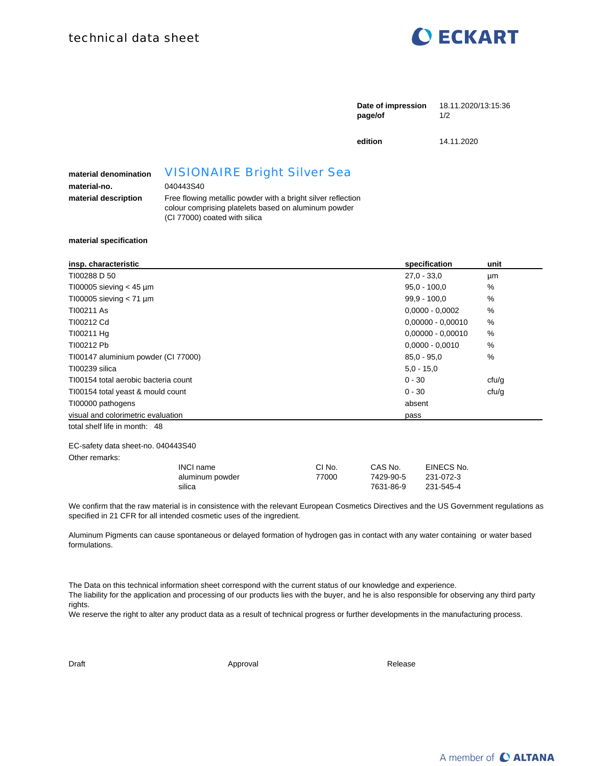

|                                       |                                                                                                                                                                          | Date of impression<br>page/of | 18.11.2020/13:15:36<br>1/2 |  |
|---------------------------------------|--------------------------------------------------------------------------------------------------------------------------------------------------------------------------|-------------------------------|----------------------------|--|
|                                       |                                                                                                                                                                          | edition                       | 14.11.2020                 |  |
| material denomination<br>material-no. | <b>VISIONAIRE Bright Silver Sea</b><br>040443S40<br>Free flowing metallic powder with a bright silver reflection<br>colour comprising platelets based on aluminum powder |                               |                            |  |
| material description                  |                                                                                                                                                                          |                               |                            |  |

(CI 77000) coated with silica

**material specification**

| insp. characteristic                 | specification       | unit          |
|--------------------------------------|---------------------|---------------|
| TI00288 D 50                         | $27.0 - 33.0$       | μm            |
| T100005 sieving $<$ 45 µm            | $95.0 - 100.0$      | $\%$          |
| T100005 sieving $< 71 \mu m$         | $99.9 - 100.0$      | %             |
| TI00211 As                           | $0,0000 - 0,0002$   | $\%$          |
| TI00212 Cd                           | $0,00000 - 0,00010$ | %             |
| T100211 Hg                           | $0,00000 - 0,00010$ | $\frac{0}{0}$ |
| TI00212 Pb                           | $0.0000 - 0.0010$   | %             |
| TI00147 aluminium powder (CI 77000)  | $85.0 - 95.0$       | %             |
| TI00239 silica                       | $5.0 - 15.0$        |               |
| TI00154 total aerobic bacteria count | $0 - 30$            | cfu/g         |
| T100154 total yeast & mould count    | $0 - 30$            | cfu/g         |
| TI00000 pathogens                    | absent              |               |
| visual and colorimetric evaluation   | pass                |               |
| total shelf life in month: 48        |                     |               |

## EC-safety data sheet-no. 040443S40

Other remarks:

| INCI name       | CI No. | CAS No.   | EINECS No. |
|-----------------|--------|-----------|------------|
| aluminum powder | 77000  | 7429-90-5 | 231-072-3  |
| silica          |        | 7631-86-9 | 231-545-4  |

We confirm that the raw material is in consistence with the relevant European Cosmetics Directives and the US Government regulations as specified in 21 CFR for all intended cosmetic uses of the ingredient.

Aluminum Pigments can cause spontaneous or delayed formation of hydrogen gas in contact with any water containing or water based formulations.

The Data on this technical information sheet correspond with the current status of our knowledge and experience. The liability for the application and processing of our products lies with the buyer, and he is also responsible for observing any third party rights.

We reserve the right to alter any product data as a result of technical progress or further developments in the manufacturing process.

Draft Approval Approval Approval Approval Release